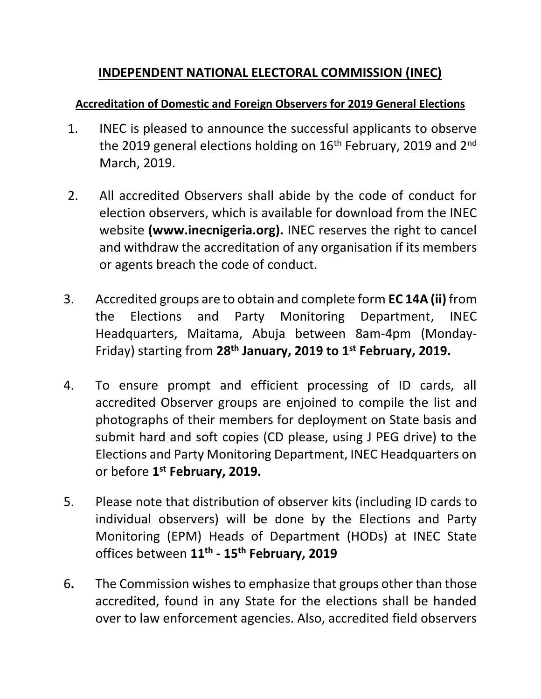## **INDEPENDENT NATIONAL ELECTORAL COMMISSION (INEC)**

#### **Accreditation of Domestic and Foreign Observers for 2019 General Elections**

- 1. INEC is pleased to announce the successful applicants to observe the 2019 general elections holding on  $16<sup>th</sup>$  February, 2019 and  $2<sup>nd</sup>$ March, 2019.
- 2. All accredited Observers shall abide by the code of conduct for election observers, which is available for download from the INEC website **(www.inecnigeria.org).** INEC reserves the right to cancel and withdraw the accreditation of any organisation if its members or agents breach the code of conduct.
- 3. Accredited groups are to obtain and complete form **EC 14A (ii)** from the Elections and Party Monitoring Department, INEC Headquarters, Maitama, Abuja between 8am-4pm (Monday-Friday) starting from **28th January, 2019 to 1st February, 2019.**
- 4. To ensure prompt and efficient processing of ID cards, all accredited Observer groups are enjoined to compile the list and photographs of their members for deployment on State basis and submit hard and soft copies (CD please, using J PEG drive) to the Elections and Party Monitoring Department, INEC Headquarters on or before **1 st February, 2019.**
- 5. Please note that distribution of observer kits (including ID cards to individual observers) will be done by the Elections and Party Monitoring (EPM) Heads of Department (HODs) at INEC State offices between **11th - 15th February, 2019**
- 6**.** The Commission wishes to emphasize that groups other than those accredited, found in any State for the elections shall be handed over to law enforcement agencies. Also, accredited field observers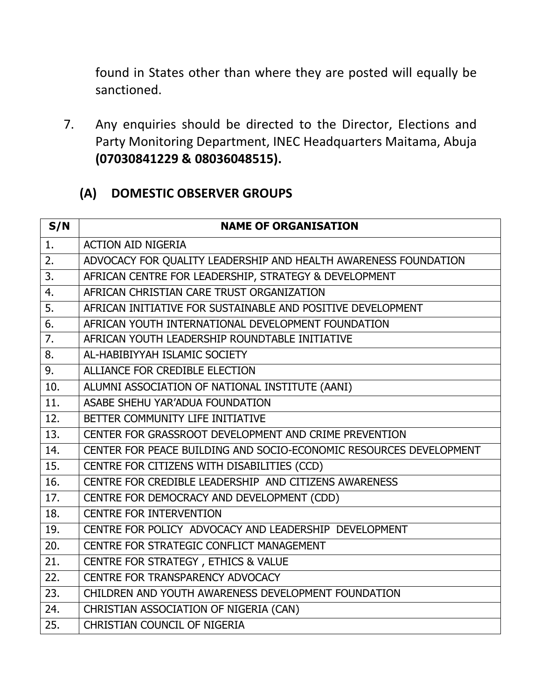found in States other than where they are posted will equally be sanctioned.

7. Any enquiries should be directed to the Director, Elections and Party Monitoring Department, INEC Headquarters Maitama, Abuja **(07030841229 & 08036048515).**

## **(A) DOMESTIC OBSERVER GROUPS**

| S/N | <b>NAME OF ORGANISATION</b>                                        |
|-----|--------------------------------------------------------------------|
| 1.  | <b>ACTION AID NIGERIA</b>                                          |
| 2.  | ADVOCACY FOR QUALITY LEADERSHIP AND HEALTH AWARENESS FOUNDATION    |
| 3.  | AFRICAN CENTRE FOR LEADERSHIP, STRATEGY & DEVELOPMENT              |
| 4.  | AFRICAN CHRISTIAN CARE TRUST ORGANIZATION                          |
| 5.  | AFRICAN INITIATIVE FOR SUSTAINABLE AND POSITIVE DEVELOPMENT        |
| 6.  | AFRICAN YOUTH INTERNATIONAL DEVELOPMENT FOUNDATION                 |
| 7.  | AFRICAN YOUTH LEADERSHIP ROUNDTABLE INITIATIVE                     |
| 8.  | AL-HABIBIYYAH ISLAMIC SOCIETY                                      |
| 9.  | ALLIANCE FOR CREDIBLE ELECTION                                     |
| 10. | ALUMNI ASSOCIATION OF NATIONAL INSTITUTE (AANI)                    |
| 11. | ASABE SHEHU YAR'ADUA FOUNDATION                                    |
| 12. | BETTER COMMUNITY LIFE INITIATIVE                                   |
| 13. | CENTER FOR GRASSROOT DEVELOPMENT AND CRIME PREVENTION              |
| 14. | CENTER FOR PEACE BUILDING AND SOCIO-ECONOMIC RESOURCES DEVELOPMENT |
| 15. | CENTRE FOR CITIZENS WITH DISABILITIES (CCD)                        |
| 16. | CENTRE FOR CREDIBLE LEADERSHIP AND CITIZENS AWARENESS              |
| 17. | CENTRE FOR DEMOCRACY AND DEVELOPMENT (CDD)                         |
| 18. | <b>CENTRE FOR INTERVENTION</b>                                     |
| 19. | CENTRE FOR POLICY ADVOCACY AND LEADERSHIP DEVELOPMENT              |
| 20. | CENTRE FOR STRATEGIC CONFLICT MANAGEMENT                           |
| 21. | CENTRE FOR STRATEGY, ETHICS & VALUE                                |
| 22. | CENTRE FOR TRANSPARENCY ADVOCACY                                   |
| 23. | CHILDREN AND YOUTH AWARENESS DEVELOPMENT FOUNDATION                |
| 24. | CHRISTIAN ASSOCIATION OF NIGERIA (CAN)                             |
| 25. | CHRISTIAN COUNCIL OF NIGERIA                                       |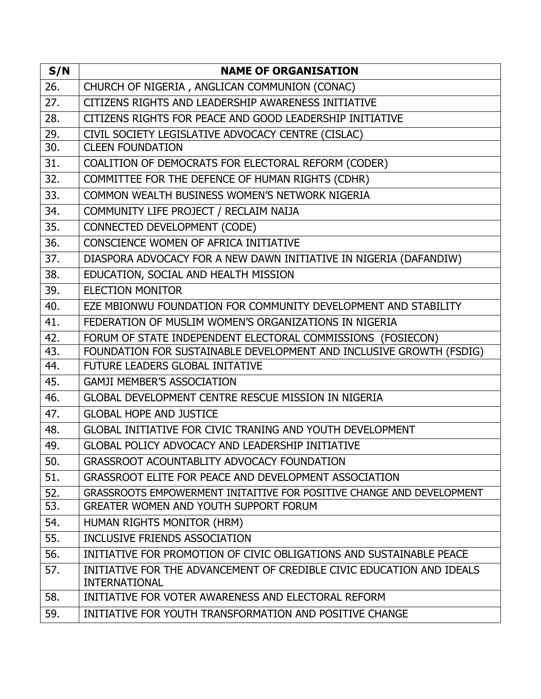| S/N | <b>NAME OF ORGANISATION</b>                                                                   |
|-----|-----------------------------------------------------------------------------------------------|
| 26. | CHURCH OF NIGERIA, ANGLICAN COMMUNION (CONAC)                                                 |
| 27. | CITIZENS RIGHTS AND LEADERSHIP AWARENESS INITIATIVE                                           |
| 28. | CITIZENS RIGHTS FOR PEACE AND GOOD LEADERSHIP INITIATIVE                                      |
| 29. | CIVIL SOCIETY LEGISLATIVE ADVOCACY CENTRE (CISLAC)                                            |
| 30. | <b>CLEEN FOUNDATION</b>                                                                       |
| 31. | COALITION OF DEMOCRATS FOR ELECTORAL REFORM (CODER)                                           |
| 32. | COMMITTEE FOR THE DEFENCE OF HUMAN RIGHTS (CDHR)                                              |
| 33. | COMMON WEALTH BUSINESS WOMEN'S NETWORK NIGERIA                                                |
| 34. | COMMUNITY LIFE PROJECT / RECLAIM NAIJA                                                        |
| 35. | CONNECTED DEVELOPMENT (CODE)                                                                  |
| 36. | CONSCIENCE WOMEN OF AFRICA INITIATIVE                                                         |
| 37. | DIASPORA ADVOCACY FOR A NEW DAWN INITIATIVE IN NIGERIA (DAFANDIW)                             |
| 38. | EDUCATION, SOCIAL AND HEALTH MISSION                                                          |
| 39. | <b>ELECTION MONITOR</b>                                                                       |
| 40. | EZE MBIONWU FOUNDATION FOR COMMUNITY DEVELOPMENT AND STABILITY                                |
| 41. | FEDERATION OF MUSLIM WOMEN'S ORGANIZATIONS IN NIGERIA                                         |
| 42. | FORUM OF STATE INDEPENDENT ELECTORAL COMMISSIONS (FOSIECON)                                   |
| 43. | FOUNDATION FOR SUSTAINABLE DEVELOPMENT AND INCLUSIVE GROWTH (FSDIG)                           |
| 44. | FUTURE LEADERS GLOBAL INITATIVE                                                               |
| 45. | <b>GAMJI MEMBER'S ASSOCIATION</b>                                                             |
| 46. | GLOBAL DEVELOPMENT CENTRE RESCUE MISSION IN NIGERIA                                           |
| 47. | <b>GLOBAL HOPE AND JUSTICE</b>                                                                |
| 48. | GLOBAL INITIATIVE FOR CIVIC TRANING AND YOUTH DEVELOPMENT                                     |
| 49. | <b>GLOBAL POLICY ADVOCACY AND LEADERSHIP INITIATIVE</b>                                       |
| 50. | GRASSROOT ACOUNTABLITY ADVOCACY FOUNDATION                                                    |
| 51. | GRASSROOT ELITE FOR PEACE AND DEVELOPMENT ASSOCIATION                                         |
| 52. | GRASSROOTS EMPOWERMENT INITAITIVE FOR POSITIVE CHANGE AND DEVELOPMENT                         |
| 53. | GREATER WOMEN AND YOUTH SUPPORT FORUM                                                         |
| 54. | HUMAN RIGHTS MONITOR (HRM)                                                                    |
| 55. | INCLUSIVE FRIENDS ASSOCIATION                                                                 |
| 56. | INITIATIVE FOR PROMOTION OF CIVIC OBLIGATIONS AND SUSTAINABLE PEACE                           |
| 57. | INITIATIVE FOR THE ADVANCEMENT OF CREDIBLE CIVIC EDUCATION AND IDEALS<br><b>INTERNATIONAL</b> |
| 58. | INITIATIVE FOR VOTER AWARENESS AND ELECTORAL REFORM                                           |
| 59. | INITIATIVE FOR YOUTH TRANSFORMATION AND POSITIVE CHANGE                                       |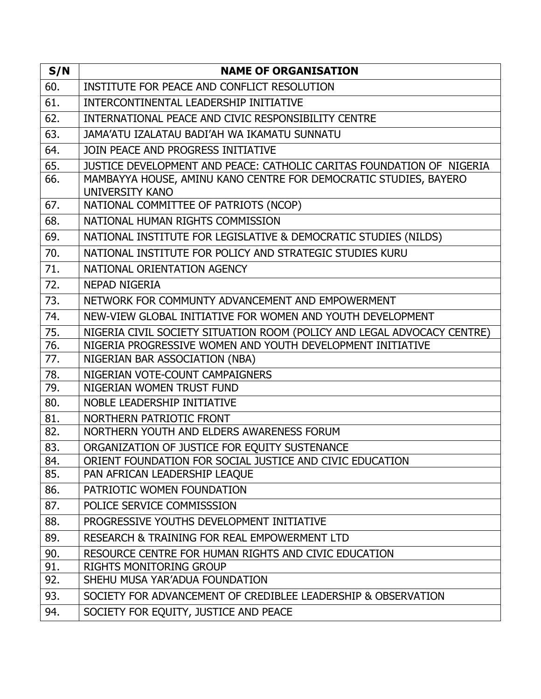| S/N        | <b>NAME OF ORGANISATION</b>                                                                               |
|------------|-----------------------------------------------------------------------------------------------------------|
| 60.        | INSTITUTE FOR PEACE AND CONFLICT RESOLUTION                                                               |
| 61.        | INTERCONTINENTAL LEADERSHIP INITIATIVE                                                                    |
| 62.        | INTERNATIONAL PEACE AND CIVIC RESPONSIBILITY CENTRE                                                       |
| 63.        | JAMA'ATU IZALATAU BADI'AH WA IKAMATU SUNNATU                                                              |
| 64.        | JOIN PEACE AND PROGRESS INITIATIVE                                                                        |
| 65.        | JUSTICE DEVELOPMENT AND PEACE: CATHOLIC CARITAS FOUNDATION OF NIGERIA                                     |
| 66.        | MAMBAYYA HOUSE, AMINU KANO CENTRE FOR DEMOCRATIC STUDIES, BAYERO<br><b>UNIVERSITY KANO</b>                |
| 67.        | NATIONAL COMMITTEE OF PATRIOTS (NCOP)                                                                     |
| 68.        | NATIONAL HUMAN RIGHTS COMMISSION                                                                          |
| 69.        | NATIONAL INSTITUTE FOR LEGISLATIVE & DEMOCRATIC STUDIES (NILDS)                                           |
| 70.        | NATIONAL INSTITUTE FOR POLICY AND STRATEGIC STUDIES KURU                                                  |
| 71.        | NATIONAL ORIENTATION AGENCY                                                                               |
| 72.        | <b>NEPAD NIGERIA</b>                                                                                      |
| 73.        | NETWORK FOR COMMUNTY ADVANCEMENT AND EMPOWERMENT                                                          |
| 74.        | NEW-VIEW GLOBAL INITIATIVE FOR WOMEN AND YOUTH DEVELOPMENT                                                |
| 75.        | NIGERIA CIVIL SOCIETY SITUATION ROOM (POLICY AND LEGAL ADVOCACY CENTRE)                                   |
| 76.        | NIGERIA PROGRESSIVE WOMEN AND YOUTH DEVELOPMENT INITIATIVE                                                |
| 77.        | NIGERIAN BAR ASSOCIATION (NBA)                                                                            |
| 78.        | NIGERIAN VOTE-COUNT CAMPAIGNERS                                                                           |
| 79.        | NIGERIAN WOMEN TRUST FUND                                                                                 |
| 80.        | <b>NOBLE LEADERSHIP INITIATIVE</b>                                                                        |
| 81.        | NORTHERN PATRIOTIC FRONT                                                                                  |
| 82.        | NORTHERN YOUTH AND ELDERS AWARENESS FORUM                                                                 |
| 83.<br>84. | ORGANIZATION OF JUSTICE FOR EQUITY SUSTENANCE<br>ORIENT FOUNDATION FOR SOCIAL JUSTICE AND CIVIC EDUCATION |
| 85.        | PAN AFRICAN LEADERSHIP LEAQUE                                                                             |
| 86.        | PATRIOTIC WOMEN FOUNDATION                                                                                |
| 87.        | POLICE SERVICE COMMISSSION                                                                                |
| 88.        | PROGRESSIVE YOUTHS DEVELOPMENT INITIATIVE                                                                 |
| 89.        | RESEARCH & TRAINING FOR REAL EMPOWERMENT LTD                                                              |
| 90.        | RESOURCE CENTRE FOR HUMAN RIGHTS AND CIVIC EDUCATION                                                      |
| 91.        | <b>RIGHTS MONITORING GROUP</b>                                                                            |
| 92.        | SHEHU MUSA YAR'ADUA FOUNDATION                                                                            |
| 93.        | SOCIETY FOR ADVANCEMENT OF CREDIBLEE LEADERSHIP & OBSERVATION                                             |
| 94.        | SOCIETY FOR EQUITY, JUSTICE AND PEACE                                                                     |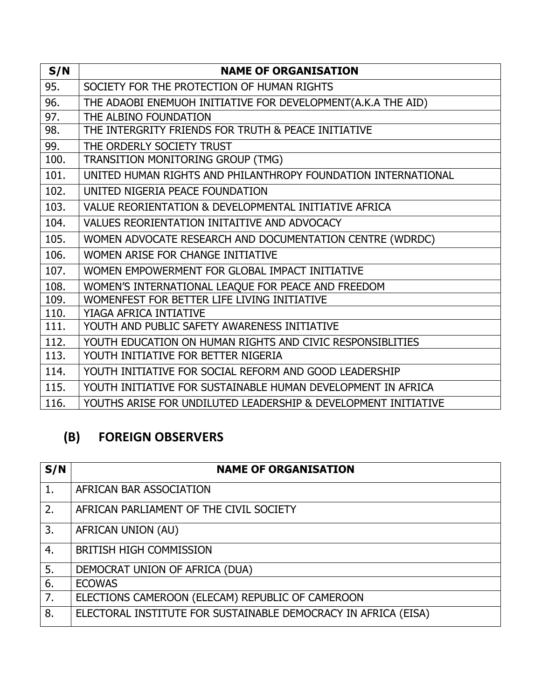| S/N  | <b>NAME OF ORGANISATION</b>                                    |
|------|----------------------------------------------------------------|
| 95.  | SOCIETY FOR THE PROTECTION OF HUMAN RIGHTS                     |
| 96.  | THE ADAOBI ENEMUOH INITIATIVE FOR DEVELOPMENT(A.K.A THE AID)   |
| 97.  | THE ALBINO FOUNDATION                                          |
| 98.  | THE INTERGRITY FRIENDS FOR TRUTH & PEACE INITIATIVE            |
| 99.  | THE ORDERLY SOCIETY TRUST                                      |
| 100. | TRANSITION MONITORING GROUP (TMG)                              |
| 101. | UNITED HUMAN RIGHTS AND PHILANTHROPY FOUNDATION INTERNATIONAL  |
| 102. | UNITED NIGERIA PEACE FOUNDATION                                |
| 103. | VALUE REORIENTATION & DEVELOPMENTAL INITIATIVE AFRICA          |
| 104. | VALUES REORIENTATION INITAITIVE AND ADVOCACY                   |
| 105. | WOMEN ADVOCATE RESEARCH AND DOCUMENTATION CENTRE (WDRDC)       |
| 106. | WOMEN ARISE FOR CHANGE INITIATIVE                              |
| 107. | WOMEN EMPOWERMENT FOR GLOBAL IMPACT INITIATIVE                 |
| 108. | WOMEN'S INTERNATIONAL LEAQUE FOR PEACE AND FREEDOM             |
| 109. | WOMENFEST FOR BETTER LIFE LIVING INITIATIVE                    |
| 110. | YIAGA AFRICA INTIATIVE                                         |
| 111. | YOUTH AND PUBLIC SAFETY AWARENESS INITIATIVE                   |
| 112. | YOUTH EDUCATION ON HUMAN RIGHTS AND CIVIC RESPONSIBLITIES      |
| 113. | YOUTH INITIATIVE FOR BETTER NIGERIA                            |
| 114. | YOUTH INITIATIVE FOR SOCIAL REFORM AND GOOD LEADERSHIP         |
| 115. | YOUTH INITIATIVE FOR SUSTAINABLE HUMAN DEVELOPMENT IN AFRICA   |
| 116. | YOUTHS ARISE FOR UNDILUTED LEADERSHIP & DEVELOPMENT INITIATIVE |

# **(B) FOREIGN OBSERVERS**

| S/N | <b>NAME OF ORGANISATION</b>                                    |
|-----|----------------------------------------------------------------|
| 1.  | AFRICAN BAR ASSOCIATION                                        |
| 2.  | AFRICAN PARLIAMENT OF THE CIVIL SOCIETY                        |
| 3.  | AFRICAN UNION (AU)                                             |
| 4.  | <b>BRITISH HIGH COMMISSION</b>                                 |
| 5.  | DEMOCRAT UNION OF AFRICA (DUA)                                 |
| 6.  | <b>ECOWAS</b>                                                  |
| 7.  | ELECTIONS CAMEROON (ELECAM) REPUBLIC OF CAMEROON               |
| 8.  | ELECTORAL INSTITUTE FOR SUSTAINABLE DEMOCRACY IN AFRICA (EISA) |